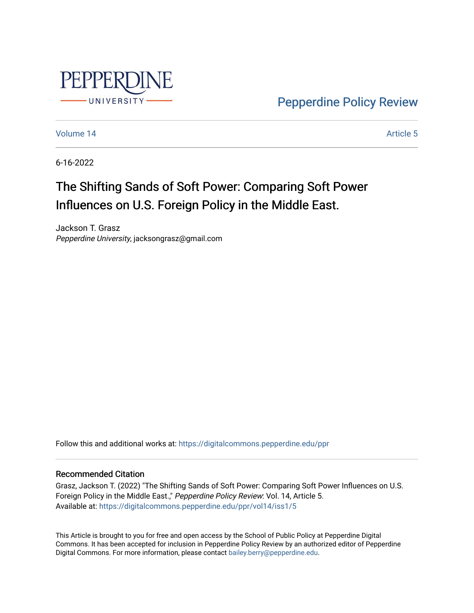

[Pepperdine Policy Review](https://digitalcommons.pepperdine.edu/ppr) 

[Volume 14](https://digitalcommons.pepperdine.edu/ppr/vol14) Article 5

6-16-2022

# The Shifting Sands of Soft Power: Comparing Soft Power Influences on U.S. Foreign Policy in the Middle East.

Jackson T. Grasz Pepperdine University, jacksongrasz@gmail.com

Follow this and additional works at: [https://digitalcommons.pepperdine.edu/ppr](https://digitalcommons.pepperdine.edu/ppr?utm_source=digitalcommons.pepperdine.edu%2Fppr%2Fvol14%2Fiss1%2F5&utm_medium=PDF&utm_campaign=PDFCoverPages)

### Recommended Citation

Grasz, Jackson T. (2022) "The Shifting Sands of Soft Power: Comparing Soft Power Influences on U.S. Foreign Policy in the Middle East.," Pepperdine Policy Review: Vol. 14, Article 5. Available at: [https://digitalcommons.pepperdine.edu/ppr/vol14/iss1/5](https://digitalcommons.pepperdine.edu/ppr/vol14/iss1/5?utm_source=digitalcommons.pepperdine.edu%2Fppr%2Fvol14%2Fiss1%2F5&utm_medium=PDF&utm_campaign=PDFCoverPages)

This Article is brought to you for free and open access by the School of Public Policy at Pepperdine Digital Commons. It has been accepted for inclusion in Pepperdine Policy Review by an authorized editor of Pepperdine Digital Commons. For more information, please contact [bailey.berry@pepperdine.edu.](mailto:bailey.berry@pepperdine.edu)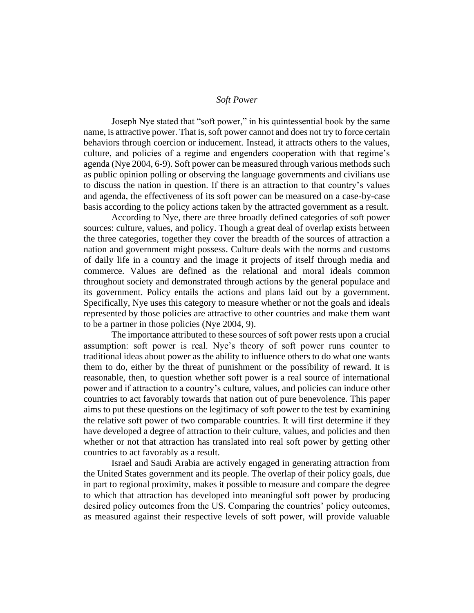#### *Soft Power*

Joseph Nye stated that "soft power," in his quintessential book by the same name, is attractive power. That is, soft power cannot and does not try to force certain behaviors through coercion or inducement. Instead, it attracts others to the values, culture, and policies of a regime and engenders cooperation with that regime's agenda (Nye 2004, 6-9). Soft power can be measured through various methods such as public opinion polling or observing the language governments and civilians use to discuss the nation in question. If there is an attraction to that country's values and agenda, the effectiveness of its soft power can be measured on a case-by-case basis according to the policy actions taken by the attracted government as a result.

According to Nye, there are three broadly defined categories of soft power sources: culture, values, and policy. Though a great deal of overlap exists between the three categories, together they cover the breadth of the sources of attraction a nation and government might possess. Culture deals with the norms and customs of daily life in a country and the image it projects of itself through media and commerce. Values are defined as the relational and moral ideals common throughout society and demonstrated through actions by the general populace and its government. Policy entails the actions and plans laid out by a government. Specifically, Nye uses this category to measure whether or not the goals and ideals represented by those policies are attractive to other countries and make them want to be a partner in those policies (Nye 2004, 9).

The importance attributed to these sources of soft power rests upon a crucial assumption: soft power is real. Nye's theory of soft power runs counter to traditional ideas about power as the ability to influence others to do what one wants them to do, either by the threat of punishment or the possibility of reward. It is reasonable, then, to question whether soft power is a real source of international power and if attraction to a country's culture, values, and policies can induce other countries to act favorably towards that nation out of pure benevolence. This paper aims to put these questions on the legitimacy of soft power to the test by examining the relative soft power of two comparable countries. It will first determine if they have developed a degree of attraction to their culture, values, and policies and then whether or not that attraction has translated into real soft power by getting other countries to act favorably as a result.

Israel and Saudi Arabia are actively engaged in generating attraction from the United States government and its people. The overlap of their policy goals, due in part to regional proximity, makes it possible to measure and compare the degree to which that attraction has developed into meaningful soft power by producing desired policy outcomes from the US. Comparing the countries' policy outcomes, as measured against their respective levels of soft power, will provide valuable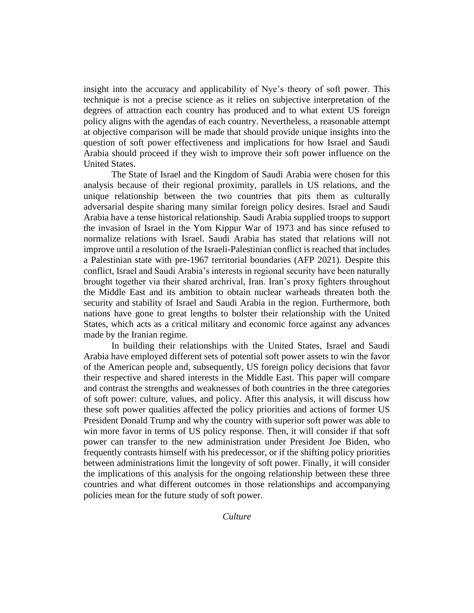insight into the accuracy and applicability of Nye's theory of soft power. This technique is not a precise science as it relies on subjective interpretation of the degrees of attraction each country has produced and to what extent US foreign policy aligns with the agendas of each country. Nevertheless, a reasonable attempt at objective comparison will be made that should provide unique insights into the question of soft power effectiveness and implications for how Israel and Saudi Arabia should proceed if they wish to improve their soft power influence on the United States.

The State of Israel and the Kingdom of Saudi Arabia were chosen for this analysis because of their regional proximity, parallels in US relations, and the unique relationship between the two countries that pits them as culturally adversarial despite sharing many similar foreign policy desires. Israel and Saudi Arabia have a tense historical relationship. Saudi Arabia supplied troops to support the invasion of Israel in the Yom Kippur War of 1973 and has since refused to normalize relations with Israel. Saudi Arabia has stated that relations will not improve until a resolution of the Israeli-Palestinian conflict is reached that includes a Palestinian state with pre-1967 territorial boundaries (AFP 2021). Despite this conflict, Israel and Saudi Arabia's interests in regional security have been naturally brought together via their shared archrival, Iran. Iran's proxy fighters throughout the Middle East and its ambition to obtain nuclear warheads threaten both the security and stability of Israel and Saudi Arabia in the region. Furthermore, both nations have gone to great lengths to bolster their relationship with the United States, which acts as a critical military and economic force against any advances made by the Iranian regime.

In building their relationships with the United States, Israel and Saudi Arabia have employed different sets of potential soft power assets to win the favor of the American people and, subsequently, US foreign policy decisions that favor their respective and shared interests in the Middle East. This paper will compare and contrast the strengths and weaknesses of both countries in the three categories of soft power: culture, values, and policy. After this analysis, it will discuss how these soft power qualities affected the policy priorities and actions of former US President Donald Trump and why the country with superior soft power was able to win more favor in terms of US policy response. Then, it will consider if that soft power can transfer to the new administration under President Joe Biden, who frequently contrasts himself with his predecessor, or if the shifting policy priorities between administrations limit the longevity of soft power. Finally, it will consider the implications of this analysis for the ongoing relationship between these three countries and what different outcomes in those relationships and accompanying policies mean for the future study of soft power.

*Culture*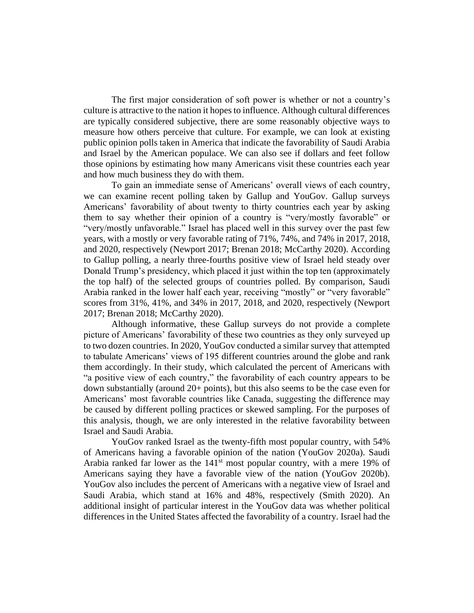The first major consideration of soft power is whether or not a country's culture is attractive to the nation it hopes to influence. Although cultural differences are typically considered subjective, there are some reasonably objective ways to measure how others perceive that culture. For example, we can look at existing public opinion polls taken in America that indicate the favorability of Saudi Arabia and Israel by the American populace. We can also see if dollars and feet follow those opinions by estimating how many Americans visit these countries each year and how much business they do with them.

To gain an immediate sense of Americans' overall views of each country, we can examine recent polling taken by Gallup and YouGov. Gallup surveys Americans' favorability of about twenty to thirty countries each year by asking them to say whether their opinion of a country is "very/mostly favorable" or "very/mostly unfavorable." Israel has placed well in this survey over the past few years, with a mostly or very favorable rating of 71%, 74%, and 74% in 2017, 2018, and 2020, respectively (Newport 2017; Brenan 2018; McCarthy 2020). According to Gallup polling, a nearly three-fourths positive view of Israel held steady over Donald Trump's presidency, which placed it just within the top ten (approximately the top half) of the selected groups of countries polled. By comparison, Saudi Arabia ranked in the lower half each year, receiving "mostly" or "very favorable" scores from 31%, 41%, and 34% in 2017, 2018, and 2020, respectively (Newport 2017; Brenan 2018; McCarthy 2020).

Although informative, these Gallup surveys do not provide a complete picture of Americans' favorability of these two countries as they only surveyed up to two dozen countries. In 2020, YouGov conducted a similar survey that attempted to tabulate Americans' views of 195 different countries around the globe and rank them accordingly. In their study, which calculated the percent of Americans with "a positive view of each country," the favorability of each country appears to be down substantially (around 20+ points), but this also seems to be the case even for Americans' most favorable countries like Canada, suggesting the difference may be caused by different polling practices or skewed sampling. For the purposes of this analysis, though, we are only interested in the relative favorability between Israel and Saudi Arabia.

YouGov ranked Israel as the twenty-fifth most popular country, with 54% of Americans having a favorable opinion of the nation (YouGov 2020a). Saudi Arabia ranked far lower as the  $141<sup>st</sup>$  most popular country, with a mere 19% of Americans saying they have a favorable view of the nation (YouGov 2020b). YouGov also includes the percent of Americans with a negative view of Israel and Saudi Arabia, which stand at 16% and 48%, respectively (Smith 2020). An additional insight of particular interest in the YouGov data was whether political differences in the United States affected the favorability of a country. Israel had the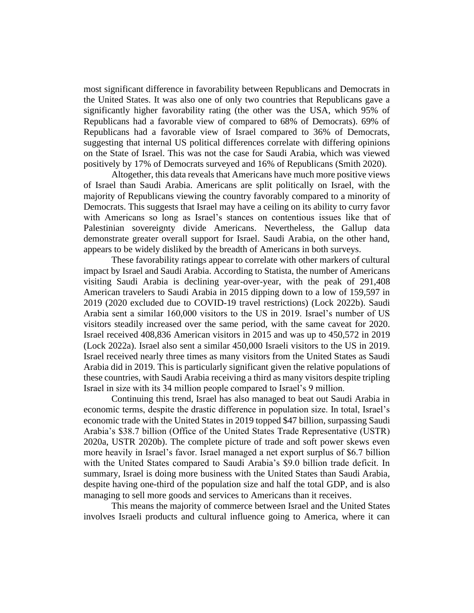most significant difference in favorability between Republicans and Democrats in the United States. It was also one of only two countries that Republicans gave a significantly higher favorability rating (the other was the USA, which 95% of Republicans had a favorable view of compared to 68% of Democrats). 69% of Republicans had a favorable view of Israel compared to 36% of Democrats, suggesting that internal US political differences correlate with differing opinions on the State of Israel. This was not the case for Saudi Arabia, which was viewed positively by 17% of Democrats surveyed and 16% of Republicans (Smith 2020).

Altogether, this data reveals that Americans have much more positive views of Israel than Saudi Arabia. Americans are split politically on Israel, with the majority of Republicans viewing the country favorably compared to a minority of Democrats. This suggests that Israel may have a ceiling on its ability to curry favor with Americans so long as Israel's stances on contentious issues like that of Palestinian sovereignty divide Americans. Nevertheless, the Gallup data demonstrate greater overall support for Israel. Saudi Arabia, on the other hand, appears to be widely disliked by the breadth of Americans in both surveys.

These favorability ratings appear to correlate with other markers of cultural impact by Israel and Saudi Arabia. According to Statista, the number of Americans visiting Saudi Arabia is declining year-over-year, with the peak of 291,408 American travelers to Saudi Arabia in 2015 dipping down to a low of 159,597 in 2019 (2020 excluded due to COVID-19 travel restrictions) (Lock 2022b). Saudi Arabia sent a similar 160,000 visitors to the US in 2019. Israel's number of US visitors steadily increased over the same period, with the same caveat for 2020. Israel received 408,836 American visitors in 2015 and was up to 450,572 in 2019 (Lock 2022a). Israel also sent a similar 450,000 Israeli visitors to the US in 2019. Israel received nearly three times as many visitors from the United States as Saudi Arabia did in 2019. This is particularly significant given the relative populations of these countries, with Saudi Arabia receiving a third as many visitors despite tripling Israel in size with its 34 million people compared to Israel's 9 million.

Continuing this trend, Israel has also managed to beat out Saudi Arabia in economic terms, despite the drastic difference in population size. In total, Israel's economic trade with the United States in 2019 topped \$47 billion, surpassing Saudi Arabia's \$38.7 billion (Office of the United States Trade Representative (USTR) 2020a, USTR 2020b). The complete picture of trade and soft power skews even more heavily in Israel's favor. Israel managed a net export surplus of \$6.7 billion with the United States compared to Saudi Arabia's \$9.0 billion trade deficit. In summary, Israel is doing more business with the United States than Saudi Arabia, despite having one-third of the population size and half the total GDP, and is also managing to sell more goods and services to Americans than it receives.

This means the majority of commerce between Israel and the United States involves Israeli products and cultural influence going to America, where it can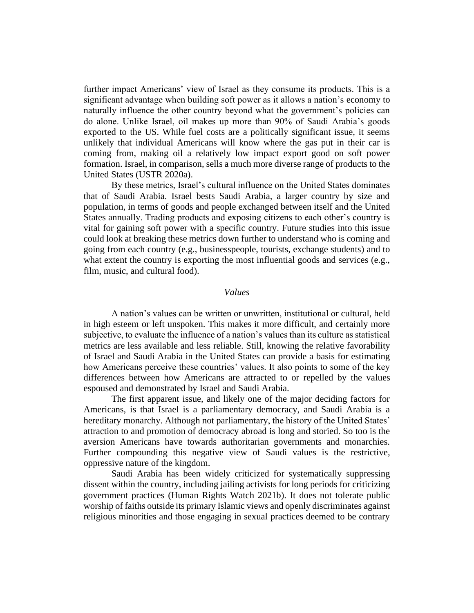further impact Americans' view of Israel as they consume its products. This is a significant advantage when building soft power as it allows a nation's economy to naturally influence the other country beyond what the government's policies can do alone. Unlike Israel, oil makes up more than 90% of Saudi Arabia's goods exported to the US. While fuel costs are a politically significant issue, it seems unlikely that individual Americans will know where the gas put in their car is coming from, making oil a relatively low impact export good on soft power formation. Israel, in comparison, sells a much more diverse range of products to the United States (USTR 2020a).

By these metrics, Israel's cultural influence on the United States dominates that of Saudi Arabia. Israel bests Saudi Arabia, a larger country by size and population, in terms of goods and people exchanged between itself and the United States annually. Trading products and exposing citizens to each other's country is vital for gaining soft power with a specific country. Future studies into this issue could look at breaking these metrics down further to understand who is coming and going from each country (e.g., businesspeople, tourists, exchange students) and to what extent the country is exporting the most influential goods and services (e.g., film, music, and cultural food).

#### *Values*

A nation's values can be written or unwritten, institutional or cultural, held in high esteem or left unspoken. This makes it more difficult, and certainly more subjective, to evaluate the influence of a nation's values than its culture as statistical metrics are less available and less reliable. Still, knowing the relative favorability of Israel and Saudi Arabia in the United States can provide a basis for estimating how Americans perceive these countries' values. It also points to some of the key differences between how Americans are attracted to or repelled by the values espoused and demonstrated by Israel and Saudi Arabia.

The first apparent issue, and likely one of the major deciding factors for Americans, is that Israel is a parliamentary democracy, and Saudi Arabia is a hereditary monarchy. Although not parliamentary, the history of the United States' attraction to and promotion of democracy abroad is long and storied. So too is the aversion Americans have towards authoritarian governments and monarchies. Further compounding this negative view of Saudi values is the restrictive, oppressive nature of the kingdom.

Saudi Arabia has been widely criticized for systematically suppressing dissent within the country, including jailing activists for long periods for criticizing government practices (Human Rights Watch 2021b). It does not tolerate public worship of faiths outside its primary Islamic views and openly discriminates against religious minorities and those engaging in sexual practices deemed to be contrary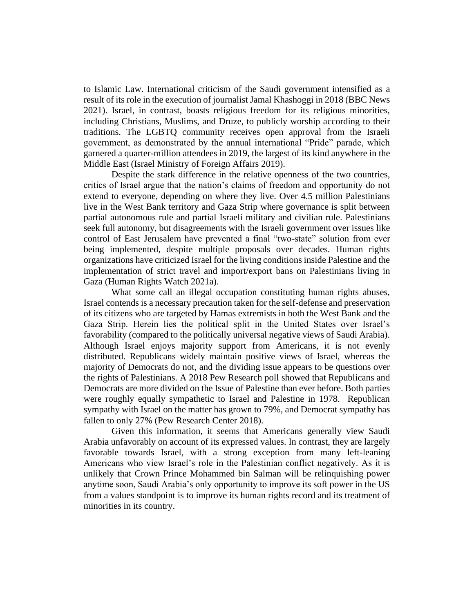to Islamic Law. International criticism of the Saudi government intensified as a result of its role in the execution of journalist Jamal Khashoggi in 2018 (BBC News 2021). Israel, in contrast, boasts religious freedom for its religious minorities, including Christians, Muslims, and Druze, to publicly worship according to their traditions. The LGBTQ community receives open approval from the Israeli government, as demonstrated by the annual international "Pride" parade, which garnered a quarter-million attendees in 2019, the largest of its kind anywhere in the Middle East (Israel Ministry of Foreign Affairs 2019).

Despite the stark difference in the relative openness of the two countries, critics of Israel argue that the nation's claims of freedom and opportunity do not extend to everyone, depending on where they live. Over 4.5 million Palestinians live in the West Bank territory and Gaza Strip where governance is split between partial autonomous rule and partial Israeli military and civilian rule. Palestinians seek full autonomy, but disagreements with the Israeli government over issues like control of East Jerusalem have prevented a final "two-state" solution from ever being implemented, despite multiple proposals over decades. Human rights organizations have criticized Israel for the living conditions inside Palestine and the implementation of strict travel and import/export bans on Palestinians living in Gaza (Human Rights Watch 2021a).

What some call an illegal occupation constituting human rights abuses, Israel contends is a necessary precaution taken for the self-defense and preservation of its citizens who are targeted by Hamas extremists in both the West Bank and the Gaza Strip. Herein lies the political split in the United States over Israel's favorability (compared to the politically universal negative views of Saudi Arabia). Although Israel enjoys majority support from Americans, it is not evenly distributed. Republicans widely maintain positive views of Israel, whereas the majority of Democrats do not, and the dividing issue appears to be questions over the rights of Palestinians. A 2018 Pew Research poll showed that Republicans and Democrats are more divided on the Issue of Palestine than ever before. Both parties were roughly equally sympathetic to Israel and Palestine in 1978. Republican sympathy with Israel on the matter has grown to 79%, and Democrat sympathy has fallen to only 27% (Pew Research Center 2018).

Given this information, it seems that Americans generally view Saudi Arabia unfavorably on account of its expressed values. In contrast, they are largely favorable towards Israel, with a strong exception from many left-leaning Americans who view Israel's role in the Palestinian conflict negatively. As it is unlikely that Crown Prince Mohammed bin Salman will be relinquishing power anytime soon, Saudi Arabia's only opportunity to improve its soft power in the US from a values standpoint is to improve its human rights record and its treatment of minorities in its country.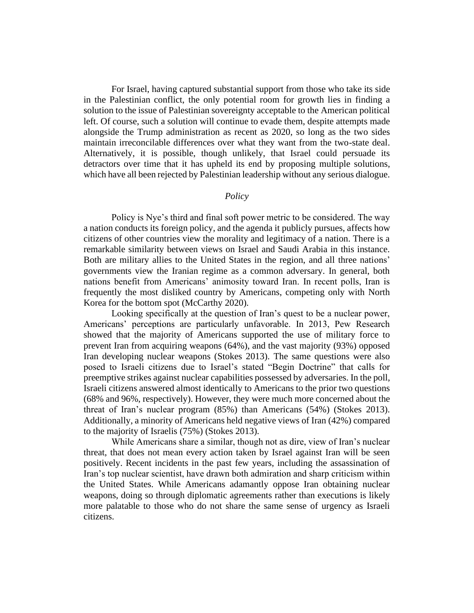For Israel, having captured substantial support from those who take its side in the Palestinian conflict, the only potential room for growth lies in finding a solution to the issue of Palestinian sovereignty acceptable to the American political left. Of course, such a solution will continue to evade them, despite attempts made alongside the Trump administration as recent as 2020, so long as the two sides maintain irreconcilable differences over what they want from the two-state deal. Alternatively, it is possible, though unlikely, that Israel could persuade its detractors over time that it has upheld its end by proposing multiple solutions, which have all been rejected by Palestinian leadership without any serious dialogue.

#### *Policy*

Policy is Nye's third and final soft power metric to be considered. The way a nation conducts its foreign policy, and the agenda it publicly pursues, affects how citizens of other countries view the morality and legitimacy of a nation. There is a remarkable similarity between views on Israel and Saudi Arabia in this instance. Both are military allies to the United States in the region, and all three nations' governments view the Iranian regime as a common adversary. In general, both nations benefit from Americans' animosity toward Iran. In recent polls, Iran is frequently the most disliked country by Americans, competing only with North Korea for the bottom spot (McCarthy 2020).

Looking specifically at the question of Iran's quest to be a nuclear power, Americans' perceptions are particularly unfavorable. In 2013, Pew Research showed that the majority of Americans supported the use of military force to prevent Iran from acquiring weapons (64%), and the vast majority (93%) opposed Iran developing nuclear weapons (Stokes 2013). The same questions were also posed to Israeli citizens due to Israel's stated "Begin Doctrine" that calls for preemptive strikes against nuclear capabilities possessed by adversaries. In the poll, Israeli citizens answered almost identically to Americans to the prior two questions (68% and 96%, respectively). However, they were much more concerned about the threat of Iran's nuclear program (85%) than Americans (54%) (Stokes 2013). Additionally, a minority of Americans held negative views of Iran (42%) compared to the majority of Israelis (75%) (Stokes 2013).

While Americans share a similar, though not as dire, view of Iran's nuclear threat, that does not mean every action taken by Israel against Iran will be seen positively. Recent incidents in the past few years, including the assassination of Iran's top nuclear scientist, have drawn both admiration and sharp criticism within the United States. While Americans adamantly oppose Iran obtaining nuclear weapons, doing so through diplomatic agreements rather than executions is likely more palatable to those who do not share the same sense of urgency as Israeli citizens.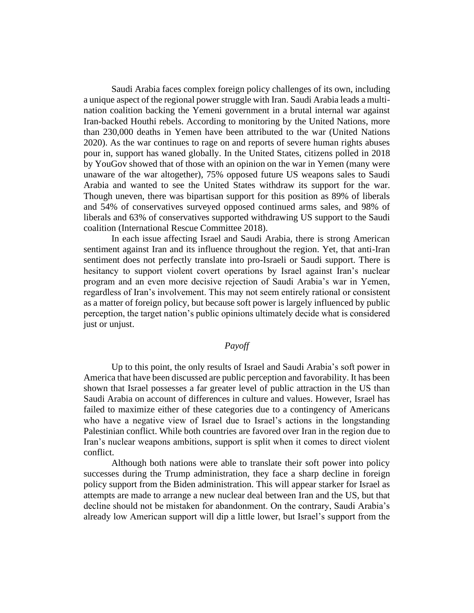Saudi Arabia faces complex foreign policy challenges of its own, including a unique aspect of the regional power struggle with Iran. Saudi Arabia leads a multination coalition backing the Yemeni government in a brutal internal war against Iran-backed Houthi rebels. According to monitoring by the United Nations, more than 230,000 deaths in Yemen have been attributed to the war (United Nations 2020). As the war continues to rage on and reports of severe human rights abuses pour in, support has waned globally. In the United States, citizens polled in 2018 by YouGov showed that of those with an opinion on the war in Yemen (many were unaware of the war altogether), 75% opposed future US weapons sales to Saudi Arabia and wanted to see the United States withdraw its support for the war. Though uneven, there was bipartisan support for this position as 89% of liberals and 54% of conservatives surveyed opposed continued arms sales, and 98% of liberals and 63% of conservatives supported withdrawing US support to the Saudi coalition (International Rescue Committee 2018).

In each issue affecting Israel and Saudi Arabia, there is strong American sentiment against Iran and its influence throughout the region. Yet, that anti-Iran sentiment does not perfectly translate into pro-Israeli or Saudi support. There is hesitancy to support violent covert operations by Israel against Iran's nuclear program and an even more decisive rejection of Saudi Arabia's war in Yemen, regardless of Iran's involvement. This may not seem entirely rational or consistent as a matter of foreign policy, but because soft power is largely influenced by public perception, the target nation's public opinions ultimately decide what is considered just or unjust.

## *Payoff*

Up to this point, the only results of Israel and Saudi Arabia's soft power in America that have been discussed are public perception and favorability. It has been shown that Israel possesses a far greater level of public attraction in the US than Saudi Arabia on account of differences in culture and values. However, Israel has failed to maximize either of these categories due to a contingency of Americans who have a negative view of Israel due to Israel's actions in the longstanding Palestinian conflict. While both countries are favored over Iran in the region due to Iran's nuclear weapons ambitions, support is split when it comes to direct violent conflict.

Although both nations were able to translate their soft power into policy successes during the Trump administration, they face a sharp decline in foreign policy support from the Biden administration. This will appear starker for Israel as attempts are made to arrange a new nuclear deal between Iran and the US, but that decline should not be mistaken for abandonment. On the contrary, Saudi Arabia's already low American support will dip a little lower, but Israel's support from the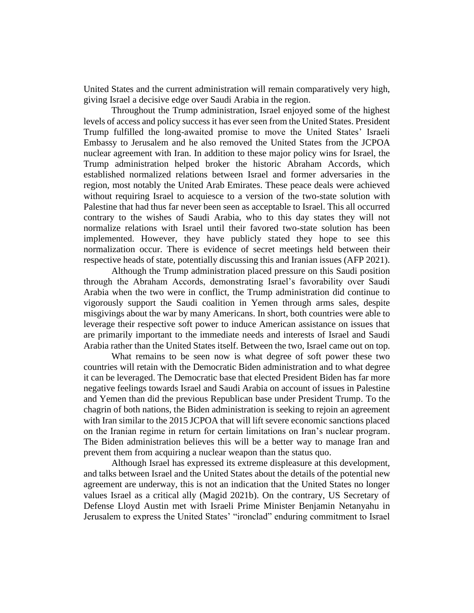United States and the current administration will remain comparatively very high, giving Israel a decisive edge over Saudi Arabia in the region.

Throughout the Trump administration, Israel enjoyed some of the highest levels of access and policy success it has ever seen from the United States. President Trump fulfilled the long-awaited promise to move the United States' Israeli Embassy to Jerusalem and he also removed the United States from the JCPOA nuclear agreement with Iran. In addition to these major policy wins for Israel, the Trump administration helped broker the historic Abraham Accords, which established normalized relations between Israel and former adversaries in the region, most notably the United Arab Emirates. These peace deals were achieved without requiring Israel to acquiesce to a version of the two-state solution with Palestine that had thus far never been seen as acceptable to Israel. This all occurred contrary to the wishes of Saudi Arabia, who to this day states they will not normalize relations with Israel until their favored two-state solution has been implemented. However, they have publicly stated they hope to see this normalization occur. There is evidence of secret meetings held between their respective heads of state, potentially discussing this and Iranian issues (AFP 2021).

Although the Trump administration placed pressure on this Saudi position through the Abraham Accords, demonstrating Israel's favorability over Saudi Arabia when the two were in conflict, the Trump administration did continue to vigorously support the Saudi coalition in Yemen through arms sales, despite misgivings about the war by many Americans. In short, both countries were able to leverage their respective soft power to induce American assistance on issues that are primarily important to the immediate needs and interests of Israel and Saudi Arabia rather than the United States itself. Between the two, Israel came out on top.

What remains to be seen now is what degree of soft power these two countries will retain with the Democratic Biden administration and to what degree it can be leveraged. The Democratic base that elected President Biden has far more negative feelings towards Israel and Saudi Arabia on account of issues in Palestine and Yemen than did the previous Republican base under President Trump. To the chagrin of both nations, the Biden administration is seeking to rejoin an agreement with Iran similar to the 2015 JCPOA that will lift severe economic sanctions placed on the Iranian regime in return for certain limitations on Iran's nuclear program. The Biden administration believes this will be a better way to manage Iran and prevent them from acquiring a nuclear weapon than the status quo.

Although Israel has expressed its extreme displeasure at this development, and talks between Israel and the United States about the details of the potential new agreement are underway, this is not an indication that the United States no longer values Israel as a critical ally (Magid 2021b). On the contrary, US Secretary of Defense Lloyd Austin met with Israeli Prime Minister Benjamin Netanyahu in Jerusalem to express the United States' "ironclad" enduring commitment to Israel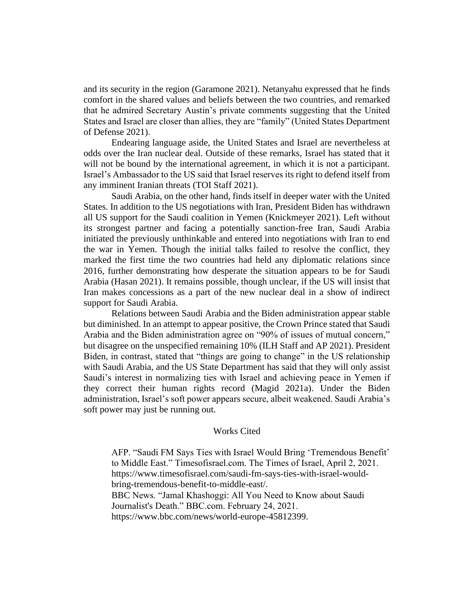and its security in the region (Garamone 2021). Netanyahu expressed that he finds comfort in the shared values and beliefs between the two countries, and remarked that he admired Secretary Austin's private comments suggesting that the United States and Israel are closer than allies, they are "family" (United States Department of Defense 2021).

Endearing language aside, the United States and Israel are nevertheless at odds over the Iran nuclear deal. Outside of these remarks, Israel has stated that it will not be bound by the international agreement, in which it is not a participant. Israel's Ambassador to the US said that Israel reserves its right to defend itself from any imminent Iranian threats (TOI Staff 2021).

Saudi Arabia, on the other hand, finds itself in deeper water with the United States. In addition to the US negotiations with Iran, President Biden has withdrawn all US support for the Saudi coalition in Yemen (Knickmeyer 2021). Left without its strongest partner and facing a potentially sanction-free Iran, Saudi Arabia initiated the previously unthinkable and entered into negotiations with Iran to end the war in Yemen. Though the initial talks failed to resolve the conflict, they marked the first time the two countries had held any diplomatic relations since 2016, further demonstrating how desperate the situation appears to be for Saudi Arabia (Hasan 2021). It remains possible, though unclear, if the US will insist that Iran makes concessions as a part of the new nuclear deal in a show of indirect support for Saudi Arabia.

Relations between Saudi Arabia and the Biden administration appear stable but diminished. In an attempt to appear positive, the Crown Prince stated that Saudi Arabia and the Biden administration agree on "90% of issues of mutual concern," but disagree on the unspecified remaining 10% (ILH Staff and AP 2021). President Biden, in contrast, stated that "things are going to change" in the US relationship with Saudi Arabia, and the US State Department has said that they will only assist Saudi's interest in normalizing ties with Israel and achieving peace in Yemen if they correct their human rights record (Magid 2021a). Under the Biden administration, Israel's soft power appears secure, albeit weakened. Saudi Arabia's soft power may just be running out.

#### Works Cited

AFP. "Saudi FM Says Ties with Israel Would Bring 'Tremendous Benefit' to Middle East." Timesofisrael.com. The Times of Israel, April 2, 2021. https://www.timesofisrael.com/saudi-fm-says-ties-with-israel-wouldbring-tremendous-benefit-to-middle-east/. BBC News. "Jamal Khashoggi: All You Need to Know about Saudi Journalist's Death." BBC.com. February 24, 2021. https://www.bbc.com/news/world-europe-45812399.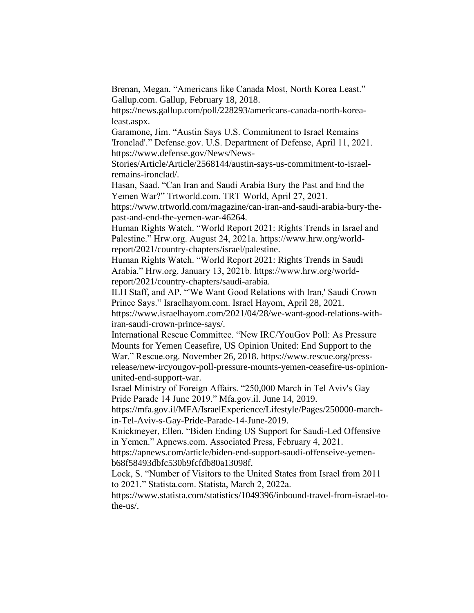Brenan, Megan. "Americans like Canada Most, North Korea Least." Gallup.com. Gallup, February 18, 2018.

https://news.gallup.com/poll/228293/americans-canada-north-korealeast.aspx.

Garamone, Jim. "Austin Says U.S. Commitment to Israel Remains 'Ironclad'." Defense.gov. U.S. Department of Defense, April 11, 2021. https://www.defense.gov/News/News-

Stories/Article/Article/2568144/austin-says-us-commitment-to-israelremains-ironclad/.

Hasan, Saad. "Can Iran and Saudi Arabia Bury the Past and End the Yemen War?" Trtworld.com. TRT World, April 27, 2021.

https://www.trtworld.com/magazine/can-iran-and-saudi-arabia-bury-thepast-and-end-the-yemen-war-46264.

Human Rights Watch. "World Report 2021: Rights Trends in Israel and Palestine." Hrw.org. August 24, 2021a. https://www.hrw.org/worldreport/2021/country-chapters/israel/palestine.

Human Rights Watch. "World Report 2021: Rights Trends in Saudi Arabia." Hrw.org. January 13, 2021b. https://www.hrw.org/worldreport/2021/country-chapters/saudi-arabia.

ILH Staff, and AP. "'We Want Good Relations with Iran,' Saudi Crown Prince Says." Israelhayom.com. Israel Hayom, April 28, 2021.

https://www.israelhayom.com/2021/04/28/we-want-good-relations-withiran-saudi-crown-prince-says/.

International Rescue Committee. "New IRC/YouGov Poll: As Pressure Mounts for Yemen Ceasefire, US Opinion United: End Support to the War." Rescue.org. November 26, 2018. https://www.rescue.org/pressrelease/new-ircyougov-poll-pressure-mounts-yemen-ceasefire-us-opinionunited-end-support-war.

Israel Ministry of Foreign Affairs. "250,000 March in Tel Aviv's Gay Pride Parade 14 June 2019." Mfa.gov.il. June 14, 2019.

https://mfa.gov.il/MFA/IsraelExperience/Lifestyle/Pages/250000-marchin-Tel-Aviv-s-Gay-Pride-Parade-14-June-2019.

Knickmeyer, Ellen. "Biden Ending US Support for Saudi-Led Offensive in Yemen." Apnews.com. Associated Press, February 4, 2021.

https://apnews.com/article/biden-end-support-saudi-offenseive-yemenb68f58493dbfc530b9fcfdb80a13098f.

Lock, S. "Number of Visitors to the United States from Israel from 2011 to 2021." Statista.com. Statista, March 2, 2022a.

https://www.statista.com/statistics/1049396/inbound-travel-from-israel-tothe-us/.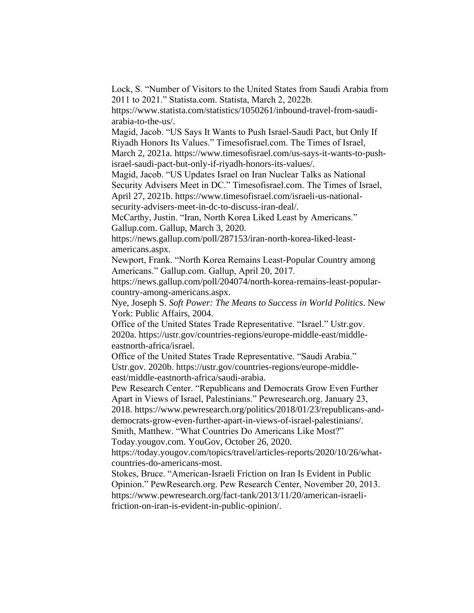Lock, S. "Number of Visitors to the United States from Saudi Arabia from 2011 to 2021." Statista.com. Statista, March 2, 2022b.

https://www.statista.com/statistics/1050261/inbound-travel-from-saudiarabia-to-the-us/.

Magid, Jacob. "US Says It Wants to Push Israel-Saudi Pact, but Only If Riyadh Honors Its Values." Timesofisrael.com. The Times of Israel, March 2, 2021a. https://www.timesofisrael.com/us-says-it-wants-to-push-

israel-saudi-pact-but-only-if-riyadh-honors-its-values/.

Magid, Jacob. "US Updates Israel on Iran Nuclear Talks as National Security Advisers Meet in DC." Timesofisrael.com. The Times of Israel, April 27, 2021b. https://www.timesofisrael.com/israeli-us-nationalsecurity-advisers-meet-in-dc-to-discuss-iran-deal/.

McCarthy, Justin. "Iran, North Korea Liked Least by Americans." Gallup.com. Gallup, March 3, 2020.

https://news.gallup.com/poll/287153/iran-north-korea-liked-leastamericans.aspx.

Newport, Frank. "North Korea Remains Least-Popular Country among Americans." Gallup.com. Gallup, April 20, 2017.

https://news.gallup.com/poll/204074/north-korea-remains-least-popularcountry-among-americans.aspx.

Nye, Joseph S. *Soft Power: The Means to Success in World Politics*. New York: Public Affairs, 2004.

Office of the United States Trade Representative. "Israel." Ustr.gov. 2020a. https://ustr.gov/countries-regions/europe-middle-east/middleeastnorth-africa/israel.

Office of the United States Trade Representative. "Saudi Arabia." Ustr.gov. 2020b. https://ustr.gov/countries-regions/europe-middleeast/middle-eastnorth-africa/saudi-arabia.

Pew Research Center. "Republicans and Democrats Grow Even Further Apart in Views of Israel, Palestinians." Pewresearch.org. January 23, 2018. https://www.pewresearch.org/politics/2018/01/23/republicans-and-

democrats-grow-even-further-apart-in-views-of-israel-palestinians/.

Smith, Matthew. "What Countries Do Americans Like Most?"

Today.yougov.com. YouGov, October 26, 2020.

https://today.yougov.com/topics/travel/articles-reports/2020/10/26/whatcountries-do-americans-most.

Stokes, Bruce. "American-Israeli Friction on Iran Is Evident in Public Opinion." PewResearch.org. Pew Research Center, November 20, 2013. https://www.pewresearch.org/fact-tank/2013/11/20/american-israelifriction-on-iran-is-evident-in-public-opinion/.